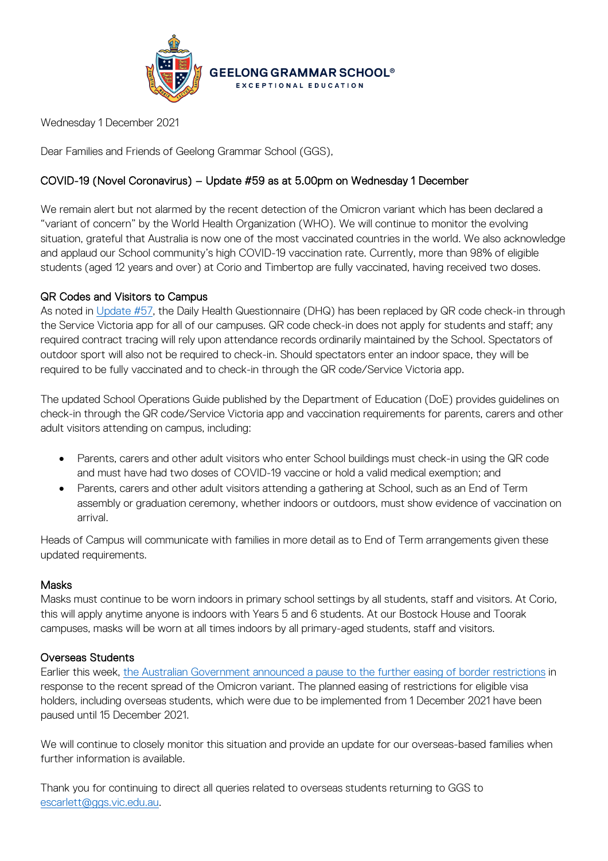

Wednesday 1 December 2021

Dear Families and Friends of Geelong Grammar School (GGS),

# COVID-19 (Novel Coronavirus) – Update #59 as at 5.00pm on Wednesday 1 December

We remain alert but not alarmed by the recent detection of the Omicron variant which has been declared a "variant of concern" by the World Health Organization (WHO). We will continue to monitor the evolving situation, grateful that Australia is now one of the most vaccinated countries in the world. We also acknowledge and applaud our School community's high COVID-19 vaccination rate. Currently, more than 98% of eligible students (aged 12 years and over) at Corio and Timbertop are fully vaccinated, having received two doses.

## QR Codes and Visitors to Campus

As noted in [Update #57,](https://www.ggs.vic.edu.au/ArticleDocuments/1007/Coronavirus%20Update%2057_211121.pdf.aspx) the Daily Health Questionnaire (DHQ) has been replaced by QR code check-in through the Service Victoria app for all of our campuses. QR code check-in does not apply for students and staff; any required contract tracing will rely upon attendance records ordinarily maintained by the School. Spectators of outdoor sport will also not be required to check-in. Should spectators enter an indoor space, they will be required to be fully vaccinated and to check-in through the QR code/Service Victoria app.

The updated School Operations Guide published by the Department of Education (DoE) provides guidelines on check-in through the QR code/Service Victoria app and vaccination requirements for parents, carers and other adult visitors attending on campus, including:

- Parents, carers and other adult visitors who enter School buildings must check-in using the QR code and must have had two doses of COVID-19 vaccine or hold a valid medical exemption; and
- Parents, carers and other adult visitors attending a gathering at School, such as an End of Term assembly or graduation ceremony, whether indoors or outdoors, must show evidence of vaccination on arrival.

Heads of Campus will communicate with families in more detail as to End of Term arrangements given these updated requirements.

### **Masks**

Masks must continue to be worn indoors in primary school settings by all students, staff and visitors. At Corio, this will apply anytime anyone is indoors with Years 5 and 6 students. At our Bostock House and Toorak campuses, masks will be worn at all times indoors by all primary-aged students, staff and visitors.

### Overseas Students

Earlier this week, the [Australian Government announced a pause](https://www.pm.gov.au/media/pause-further-easing-border-restrictions) to the further easing of border restrictions in response to the recent spread of the Omicron variant. The planned easing of restrictions for eligible visa holders, including overseas students, which were due to be implemented from 1 December 2021 have been paused until 15 December 2021.

We will continue to closely monitor this situation and provide an update for our overseas-based families when further information is available.

Thank you for continuing to direct all queries related to overseas students returning to GGS to [escarlett@ggs.vic.edu.au.](mailto:escarlett@ggs.vic.edu.au)